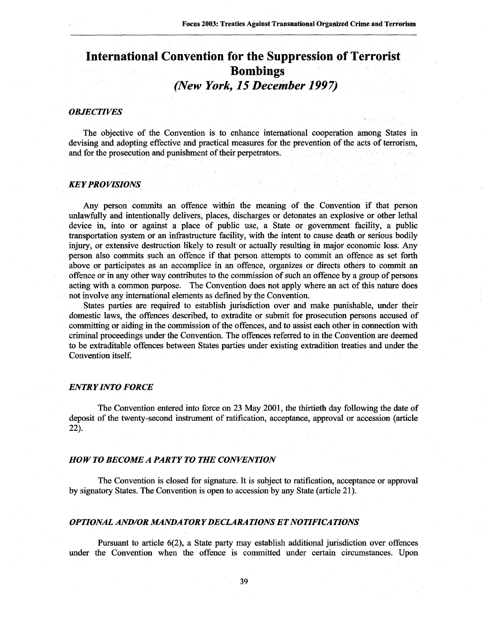# **International Convention for the Suppression of Terrorist Bombings** *(New York, 15 December 1997)*

### *OBJECTIVES*

The objective of the Convention is to enhance international cooperation among States in devising and adopting effective and practical measures for the prevention of the acts of terrorism, and for the prosecution and punishment of their perpetrators.

### *KEY PROVISIONS*

Any person commits an offence within the meaning of the Convention if that person unlawfully and intentionally delivers, places, discharges or detonates an explosive or other lethal device in, into or against a place of public use, a State or government facility, a public transportation system or an infrastructure facility, with the intent to cause death or serious bodily injury, or extensive destruction likely to result or actually resulting in major economic loss. Any person also commits such an offence if that person attempts to commit an offence as set forth above or participates as an accomplice in an offence, organizes or directs others to commit an offence or in any other way contributes to the commission of such an offence by a group of persons acting with a common purpose. The Convention does not apply where an act of this nature does not involve any international elements as defined by the Convention.

States parties are required to establish jurisdiction over and make punishable, under their domestic laws, the offences described, to extradite or submit for prosecution persons accused of committing or aiding in the commission of the offences, and to assist each other in connection with criminal proceedings under the Convention. The offences referred to in the Convention are deemed to be extraditable offences between States parties under existing extradition treaties and under the Convention itself.

#### *ENTRY INTO FORCE*

The Convention entered into force on 23 May 2001, the thirtieth day following the date of deposit of the twenty-second instrument of ratification, acceptance, approval or accession (article 22).

#### *HOW TO BECOME A PARTY TO THE CONVENTION*

The Convention is closed for signature. It is subject to ratification, acceptance or approval by signatory States. The Convention is open to accession by any State (article 21).

## *OPTIONAL AND/OR MANDATORY DECLARATIONS ET NOTIFICATIONS*

Pursuant to article 6(2), a State party may establish additional jurisdiction over offences under the Convention when the offence is committed under certain circumstances. Upon